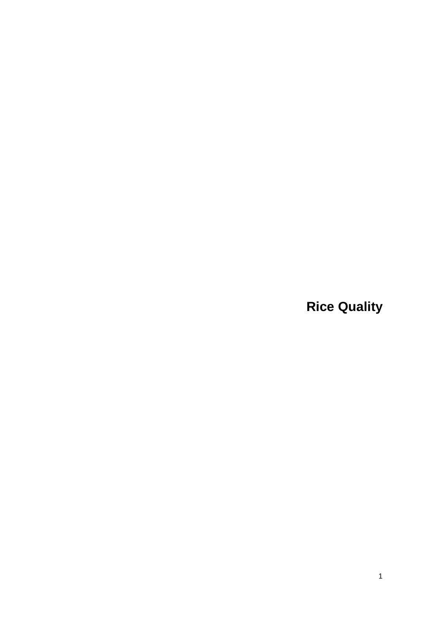**Rice Quality**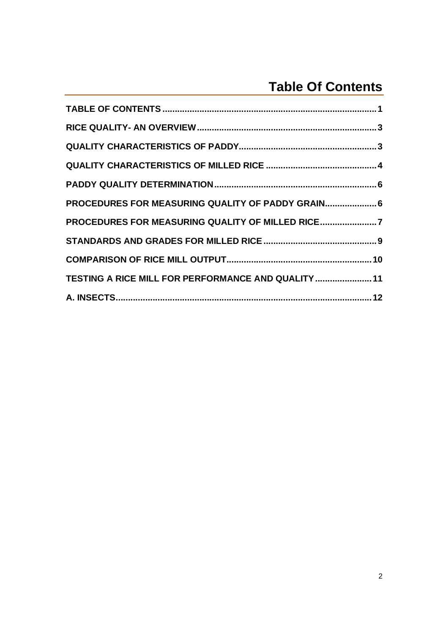# **Table Of Contents**

| PROCEDURES FOR MEASURING QUALITY OF PADDY GRAIN 6  |  |
|----------------------------------------------------|--|
| PROCEDURES FOR MEASURING QUALITY OF MILLED RICE7   |  |
|                                                    |  |
|                                                    |  |
| TESTING A RICE MILL FOR PERFORMANCE AND QUALITY 11 |  |
|                                                    |  |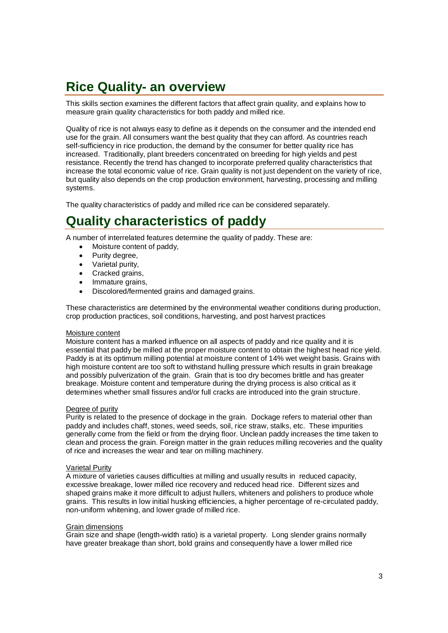# **Rice Quality- an overview**

This skills section examines the different factors that affect grain quality, and explains how to measure grain quality characteristics for both paddy and milled rice.

Quality of rice is not always easy to define as it depends on the consumer and the intended end use for the grain. All consumers want the best quality that they can afford. As countries reach self-sufficiency in rice production, the demand by the consumer for better quality rice has increased. Traditionally, plant breeders concentrated on breeding for high yields and pest resistance. Recently the trend has changed to incorporate preferred quality characteristics that increase the total economic value of rice. Grain quality is not just dependent on the variety of rice, but quality also depends on the crop production environment, harvesting, processing and milling systems.

The quality characteristics of paddy and milled rice can be considered separately.

## **Quality characteristics of paddy**

A number of interrelated features determine the quality of paddy. These are:

- Moisture content of paddy,
- Purity degree,
- Varietal purity,
- Cracked grains,
- Immature grains,
- Discolored/fermented grains and damaged grains.

These characteristics are determined by the environmental weather conditions during production, crop production practices, soil conditions, harvesting, and post harvest practices

## Moisture content

Moisture content has a marked influence on all aspects of paddy and rice quality and it is essential that paddy be milled at the proper moisture content to obtain the highest head rice yield. Paddy is at its optimum milling potential at moisture content of 14% wet weight basis. Grains with high moisture content are too soft to withstand hulling pressure which results in grain breakage and possibly pulverization of the grain. Grain that is too dry becomes brittle and has greater breakage. Moisture content and temperature during the drying process is also critical as it determines whether small fissures and/or full cracks are introduced into the grain structure.

## Degree of purity

Purity is related to the presence of dockage in the grain. Dockage refers to material other than paddy and includes chaff, stones, weed seeds, soil, rice straw, stalks, etc. These impurities generally come from the field or from the drying floor. Unclean paddy increases the time taken to clean and process the grain. Foreign matter in the grain reduces milling recoveries and the quality of rice and increases the wear and tear on milling machinery.

### Varietal Purity

A mixture of varieties causes difficulties at milling and usually results in reduced capacity, excessive breakage, lower milled rice recovery and reduced head rice. Different sizes and shaped grains make it more difficult to adjust hullers, whiteners and polishers to produce whole grains. This results in low initial husking efficiencies, a higher percentage of re-circulated paddy, non-uniform whitening, and lower grade of milled rice.

### Grain dimensions

Grain size and shape (length-width ratio) is a varietal property. Long slender grains normally have greater breakage than short, bold grains and consequently have a lower milled rice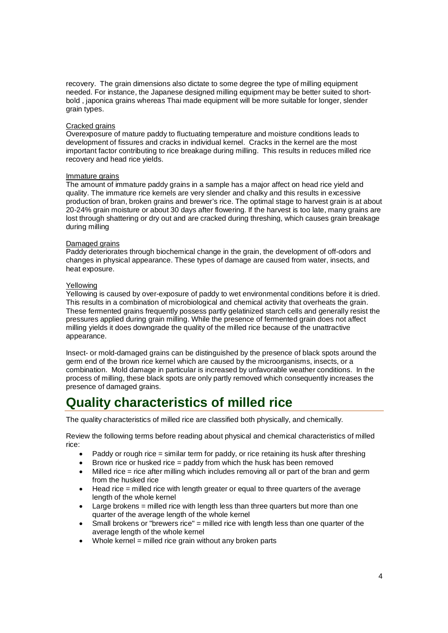recovery. The grain dimensions also dictate to some degree the type of milling equipment needed. For instance, the Japanese designed milling equipment may be better suited to shortbold , japonica grains whereas Thai made equipment will be more suitable for longer, slender grain types.

### Cracked grains

Overexposure of mature paddy to fluctuating temperature and moisture conditions leads to development of fissures and cracks in individual kernel. Cracks in the kernel are the most important factor contributing to rice breakage during milling. This results in reduces milled rice recovery and head rice yields.

### Immature grains

The amount of immature paddy grains in a sample has a major affect on head rice yield and quality. The immature rice kernels are very slender and chalky and this results in excessive production of bran, broken grains and brewer's rice. The optimal stage to harvest grain is at about 20-24% grain moisture or about 30 days after flowering. If the harvest is too late, many grains are lost through shattering or dry out and are cracked during threshing, which causes grain breakage during milling

### Damaged grains

Paddy deteriorates through biochemical change in the grain, the development of off-odors and changes in physical appearance. These types of damage are caused from water, insects, and heat exposure.

### Yellowing

Yellowing is caused by over-exposure of paddy to wet environmental conditions before it is dried. This results in a combination of microbiological and chemical activity that overheats the grain. These fermented grains frequently possess partly gelatinized starch cells and generally resist the pressures applied during grain milling. While the presence of fermented grain does not affect milling yields it does downgrade the quality of the milled rice because of the unattractive appearance.

Insect- or mold-damaged grains can be distinguished by the presence of black spots around the germ end of the brown rice kernel which are caused by the microorganisms, insects, or a combination. Mold damage in particular is increased by unfavorable weather conditions. In the process of milling, these black spots are only partly removed which consequently increases the presence of damaged grains.

# **Quality characteristics of milled rice**

The quality characteristics of milled rice are classified both physically, and chemically.

Review the following terms before reading about physical and chemical characteristics of milled rice:

- Paddy or rough rice = similar term for paddy, or rice retaining its husk after threshing
- Brown rice or husked rice = paddy from which the husk has been removed
- Milled rice = rice after milling which includes removing all or part of the bran and germ from the husked rice
- Head rice = milled rice with length greater or equal to three quarters of the average length of the whole kernel
- $\bullet$  Large brokens = milled rice with length less than three quarters but more than one quarter of the average length of the whole kernel
- Small brokens or "brewers rice"  $=$  milled rice with length less than one quarter of the average length of the whole kernel
- Whole kernel = milled rice grain without any broken parts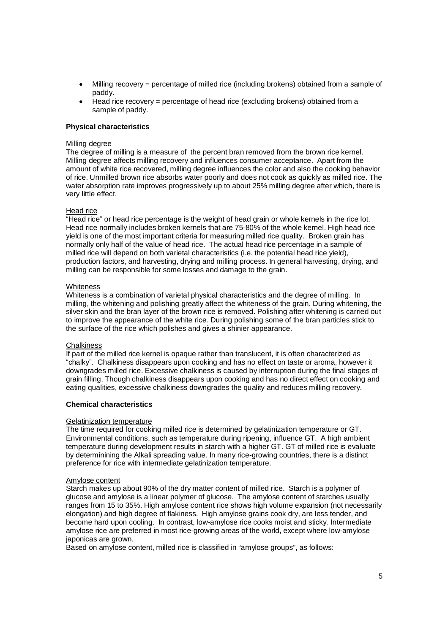- Milling recovery = percentage of milled rice (including brokens) obtained from a sample of paddy.
- Head rice recovery = percentage of head rice (excluding brokens) obtained from a sample of paddy.

## **Physical characteristics**

## Milling degree

The degree of milling is a measure of the percent bran removed from the brown rice kernel. Milling degree affects milling recovery and influences consumer acceptance. Apart from the amount of white rice recovered, milling degree influences the color and also the cooking behavior of rice. Unmilled brown rice absorbs water poorly and does not cook as quickly as milled rice. The water absorption rate improves progressively up to about 25% milling degree after which, there is very little effect.

## Head rice

"Head rice" or head rice percentage is the weight of head grain or whole kernels in the rice lot. Head rice normally includes broken kernels that are 75-80% of the whole kernel. High head rice yield is one of the most important criteria for measuring milled rice quality. Broken grain has normally only half of the value of head rice. The actual head rice percentage in a sample of milled rice will depend on both varietal characteristics (i.e. the potential head rice yield), production factors, and harvesting, drying and milling process. In general harvesting, drying, and milling can be responsible for some losses and damage to the grain.

### **Whiteness**

Whiteness is a combination of varietal physical characteristics and the degree of milling. In milling, the whitening and polishing greatly affect the whiteness of the grain. During whitening, the silver skin and the bran layer of the brown rice is removed. Polishing after whitening is carried out to improve the appearance of the white rice. During polishing some of the bran particles stick to the surface of the rice which polishes and gives a shinier appearance.

### **Chalkiness**

If part of the milled rice kernel is opaque rather than translucent, it is often characterized as "chalky". Chalkiness disappears upon cooking and has no effect on taste or aroma, however it downgrades milled rice. Excessive chalkiness is caused by interruption during the final stages of grain filling. Though chalkiness disappears upon cooking and has no direct effect on cooking and eating qualities, excessive chalkiness downgrades the quality and reduces milling recovery.

## **Chemical characteristics**

### Gelatinization temperature

The time required for cooking milled rice is determined by gelatinization temperature or GT. Environmental conditions, such as temperature during ripening, influence GT. A high ambient temperature during development results in starch with a higher GT. GT of milled rice is evaluate by determinining the Alkali spreading value. In many rice-growing countries, there is a distinct preference for rice with intermediate gelatinization temperature.

### Amylose content

Starch makes up about 90% of the dry matter content of milled rice. Starch is a polymer of glucose and amylose is a linear polymer of glucose. The amylose content of starches usually ranges from 15 to 35%. High amylose content rice shows high volume expansion (not necessarily elongation) and high degree of flakiness. High amylose grains cook dry, are less tender, and become hard upon cooling. In contrast, low-amylose rice cooks moist and sticky. Intermediate amylose rice are preferred in most rice-growing areas of the world, except where low-amylose japonicas are grown.

Based on amylose content, milled rice is classified in "amylose groups", as follows: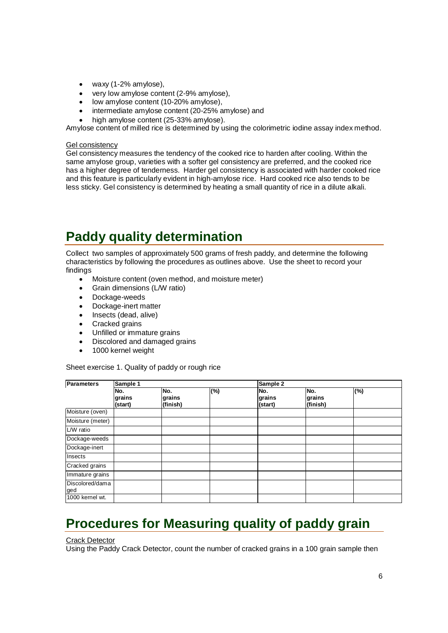- waxy (1-2% amylose),
- very low amylose content (2-9% amylose),
- low amylose content (10-20% amylose),
- intermediate amylose content (20-25% amylose) and
- high amylose content (25-33% amylose).

Amylose content of milled rice is determined by using the colorimetric iodine assay index method.

## Gel consistency

Gel consistency measures the tendency of the cooked rice to harden after cooling. Within the same amylose group, varieties with a softer gel consistency are preferred, and the cooked rice has a higher degree of tenderness. Harder gel consistency is associated with harder cooked rice and this feature is particularly evident in high-amylose rice. Hard cooked rice also tends to be less sticky. Gel consistency is determined by heating a small quantity of rice in a dilute alkali.

# **Paddy quality determination**

Collect two samples of approximately 500 grams of fresh paddy, and determine the following characteristics by following the procedures as outlines above. Use the sheet to record your findings

- Moisture content (oven method, and moisture meter)
- Grain dimensions (L/W ratio)
- Dockage-weeds
- Dockage-inert matter
- Insects (dead, alive)
- Cracked grains
- Unfilled or immature grains<br>• Discolored and damaged gr
- Discolored and damaged grains
- 1000 kernel weight

Sheet exercise 1. Quality of paddy or rough rice

| <b>Parameters</b>      | Sample 1                 |                           |     | Sample 2                 |                           |     |  |  |
|------------------------|--------------------------|---------------------------|-----|--------------------------|---------------------------|-----|--|--|
|                        | No.<br>grains<br>(start) | No.<br>grains<br>(finish) | (%) | No.<br>grains<br>(start) | No.<br>grains<br>(finish) | (%) |  |  |
| Moisture (oven)        |                          |                           |     |                          |                           |     |  |  |
| Moisture (meter)       |                          |                           |     |                          |                           |     |  |  |
| L/W ratio              |                          |                           |     |                          |                           |     |  |  |
| Dockage-weeds          |                          |                           |     |                          |                           |     |  |  |
| Dockage-inert          |                          |                           |     |                          |                           |     |  |  |
| Insects                |                          |                           |     |                          |                           |     |  |  |
| Cracked grains         |                          |                           |     |                          |                           |     |  |  |
| Immature grains        |                          |                           |     |                          |                           |     |  |  |
| Discolored/dama<br>ged |                          |                           |     |                          |                           |     |  |  |
| 1000 kernel wt.        |                          |                           |     |                          |                           |     |  |  |

# **Procedures for Measuring quality of paddy grain**

Crack Detector

Using the Paddy Crack Detector, count the number of cracked grains in a 100 grain sample then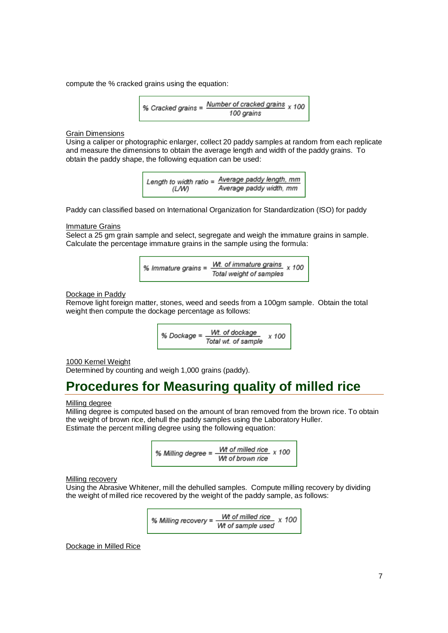compute the % cracked grains using the equation:

% Cracket grains = 
$$
\frac{Number\ of\ cracked\ grains}{100\ grains} \times 100
$$

**Grain Dimensions** 

Using a caliper or photographic enlarger, collect 20 paddy samples at random from each replicate and measure the dimensions to obtain the average length and width of the paddy grains. To obtain the paddy shape, the following equation can be used:

> Length to width ratio =  $\frac{Average \text{paddy length, mm}}{T}$ Average paddy width, mm (LW)

Paddy can classified based on International Organization for Standardization (ISO) for paddy

**Immature Grains** 

Select a 25 gm grain sample and select, segregate and weigh the immature grains in sample. Calculate the percentage immature grains in the sample using the formula:

> Wt. of immature grains x 100 % Immature grains = Total weight of samples

### Dockage in Paddy

Remove light foreign matter, stones, weed and seeds from a 100gm sample. Obtain the total weight then compute the dockage percentage as follows:

> Wt. of dockage % Dockage = x 100 Total wt. of sample

1000 Kernel Weight

Determined by counting and weigh 1,000 grains (paddy).

## **Procedures for Measuring quality of milled rice**

#### Milling degree

Milling degree is computed based on the amount of bran removed from the brown rice. To obtain the weight of brown rice, dehull the paddy samples using the Laboratory Huller. Estimate the percent milling degree using the following equation:

> Wt of milled rice  $x$  100 % Milling degree = Wt of brown rice

Milling recovery

Using the Abrasive Whitener, mill the dehulled samples. Compute milling recovery by dividing the weight of milled rice recovered by the weight of the paddy sample, as follows:

% Milling recovery = 
$$
\frac{Wt \text{ of milled rice}}{Wt \text{ of sample used}} \times 100
$$

Dockage in Milled Rice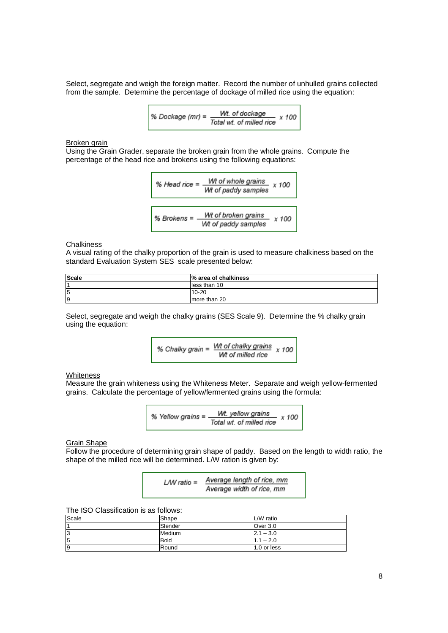Select, segregate and weigh the foreign matter. Record the number of unhulled grains collected from the sample. Determine the percentage of dockage of milled rice using the equation:

% Dockage (mr) = 
$$
\frac{Wt \text{. of clockwise}}{Total wt \text{. of milled rice}} \times 100
$$

Broken grain

Using the Grain Grader, separate the broken grain from the whole grains. Compute the percentage of the head rice and brokens using the following equations:

% Head rice = 
$$
\frac{Wt \text{ of whole grains}}{Wt \text{ of paddy samples}} \times 100
$$
\n% Brooks = 
$$
\frac{Wt \text{ of broken grains}}{Wt \text{ of paddy samples}} \times 100
$$

### **Chalkiness**

A visual rating of the chalky proportion of the grain is used to measure chalkiness based on the standard Evaluation System SES scale presented below:

| <b>Scale</b> | % area of chalkiness |
|--------------|----------------------|
|              | lless than 10        |
| 15           | $10 - 20$            |
| Ι9           | Imore than 20        |

Select, segregate and weigh the chalky grains (SES Scale 9). Determine the % chalky grain using the equation:

% Chalky grain = 
$$
\frac{Wt \text{ of chalky grains}}{Wt \text{ of milled rice}} \times 100
$$

## **Whiteness**

Measure the grain whiteness using the Whiteness Meter. Separate and weigh yellow-fermented grains. Calculate the percentage of yellow/fermented grains using the formula:

% Yellow grains = 
$$
\frac{Wt. yellow grains}{Total wt. of milled rice} \times 100
$$

Grain Shape

Follow the procedure of determining grain shape of paddy. Based on the length to width ratio, the shape of the milled rice will be determined. L/W ration is given by:

| $LW$ ratio = | Average length of rice, mm |
|--------------|----------------------------|
|              | Average width of rice, mm  |

The ISO Classification is as follows:

| Scale | Shape       | L/W ratio        |
|-------|-------------|------------------|
|       | Slender     | Over 3.0         |
| l3    | Medium      | $2.1 - 3.0$      |
| 5     | <b>Bold</b> | $-2.0$<br>$-1.1$ |
| 19    | Round       | 1.0 or less      |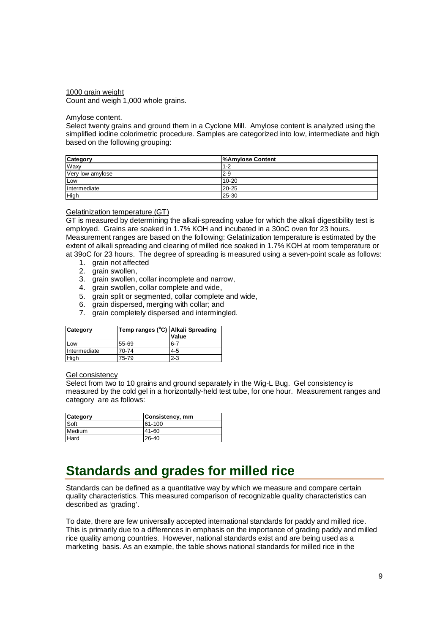### 1000 grain weight Count and weigh 1,000 whole grains.

### Amylose content.

Select twenty grains and ground them in a Cyclone Mill. Amylose content is analyzed using the simplified iodine colorimetric procedure. Samples are categorized into low, intermediate and high based on the following grouping:

| Category         | %Amylose Content |
|------------------|------------------|
| Waxy             | $1 - 2$          |
| Very low amylose | $2-9$            |
| Low              | $10 - 20$        |
| Intermediate     | $20 - 25$        |
| High             | 25-30            |

### Gelatinization temperature (GT)

GT is measured by determining the alkali-spreading value for which the alkali digestibility test is employed. Grains are soaked in 1.7% KOH and incubated in a 30oC oven for 23 hours. Measurement ranges are based on the following: Gelatinization temperature is estimated by the extent of alkali spreading and clearing of milled rice soaked in 1.7% KOH at room temperature or at 39oC for 23 hours. The degree of spreading is measured using a seven-point scale as follows:

- 1. grain not affected
- 2. grain swollen,
- 3. grain swollen, collar incomplete and narrow,
- 4. grain swollen, collar complete and wide,
- 5. grain split or segmented, collar complete and wide,
- 6. grain dispersed, merging with collar; and
- 7. grain completely dispersed and intermingled.

| Category     | Temp ranges (°C) Alkali Spreading | Value   |
|--------------|-----------------------------------|---------|
| Low          | 55-69                             | 6-7     |
| Intermediate | 70-74                             | 4-5     |
| High         | 75-79                             | $2 - 3$ |

### Gel consistency

Select from two to 10 grains and ground separately in the Wig-L Bug. Gel consistency is measured by the cold gel in a horizontally-held test tube, for one hour. Measurement ranges and category are as follows:

| Category    | Consistency, mm |
|-------------|-----------------|
| Soft        | 61-100          |
| Medium      | $41 - 60$       |
| <b>Hard</b> | $26 - 40$       |

## **Standards and grades for milled rice**

Standards can be defined as a quantitative way by which we measure and compare certain quality characteristics. This measured comparison of recognizable quality characteristics can described as 'grading'.

To date, there are few universally accepted international standards for paddy and milled rice. This is primarily due to a differences in emphasis on the importance of grading paddy and milled rice quality among countries. However, national standards exist and are being used as a marketing basis. As an example, the table shows national standards for milled rice in the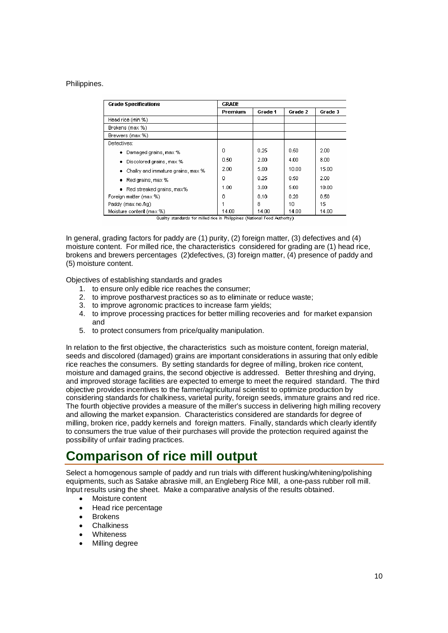## Philippines.

| <b>Grade Specifications</b>            | <b>GRADE</b> |         |         |         |  |  |  |
|----------------------------------------|--------------|---------|---------|---------|--|--|--|
|                                        | Premium      | Grade 1 | Grade 2 | Grade 3 |  |  |  |
| Head rice (min %)                      |              |         |         |         |  |  |  |
| Brokens (max %)                        |              |         |         |         |  |  |  |
| Brewers (max %)                        |              |         |         |         |  |  |  |
| Defectives:                            |              |         |         |         |  |  |  |
| Damaged grains, max %<br>٠             | 0            | 0.25    | 0.50    | 2.00    |  |  |  |
| Discolored grains, max %<br>٠          | 0.50         | 2.00    | 4.00    | 8.00    |  |  |  |
| Chalky and immature grains, max %<br>٠ | 2.00         | 5.00    | 10.00   | 15.00   |  |  |  |
| Red grains, max %<br>٠                 | ۵            | 0.25    | 0.50    | 2.00    |  |  |  |
| Red streaked grains, max%<br>٠         | 1.00         | 3.00    | 5.00    | 10.00   |  |  |  |
| Foreign matter (max %)                 | Ω            | 0.10    | 0.20    | 0.50    |  |  |  |
| Paddy (max no./kg)                     |              | 8       | 10      | 15      |  |  |  |
| Moisture content (max %)               | 14.00        | 14.00   | 14.00   | 14.00   |  |  |  |

Quality standards for milled rice in Philippines (National Food Authority)

In general, grading factors for paddy are (1) purity, (2) foreign matter, (3) defectives and (4) moisture content. For milled rice, the characteristics considered for grading are (1) head rice, brokens and brewers percentages (2)defectives, (3) foreign matter, (4) presence of paddy and (5) moisture content.

Objectives of establishing standards and grades

- 1. to ensure only edible rice reaches the consumer;
- 2. to improve postharvest practices so as to eliminate or reduce waste;
- 3. to improve agronomic practices to increase farm yields;
- 4. to improve processing practices for better milling recoveries and for market expansion and
- 5. to protect consumers from price/quality manipulation.

In relation to the first objective, the characteristics such as moisture content, foreign material, seeds and discolored (damaged) grains are important considerations in assuring that only edible rice reaches the consumers. By setting standards for degree of milling, broken rice content, moisture and damaged grains, the second objective is addressed. Better threshing and drying, and improved storage facilities are expected to emerge to meet the required standard. The third objective provides incentives to the farmer/agricultural scientist to optimize production by considering standards for chalkiness, varietal purity, foreign seeds, immature grains and red rice. The fourth objective provides a measure of the miller's success in delivering high milling recovery and allowing the market expansion. Characteristics considered are standards for degree of milling, broken rice, paddy kernels and foreign matters. Finally, standards which clearly identify to consumers the true value of their purchases will provide the protection required against the possibility of unfair trading practices.

# **Comparison of rice mill output**

Select a homogenous sample of paddy and run trials with different husking/whitening/polishing equipments, such as Satake abrasive mill, an Engleberg Rice Mill, a one-pass rubber roll mill. Input results using the sheet. Make a comparative analysis of the results obtained.

- Moisture content
- Head rice percentage
- **Brokens**
- **Chalkiness**
- **Whiteness**
- Milling degree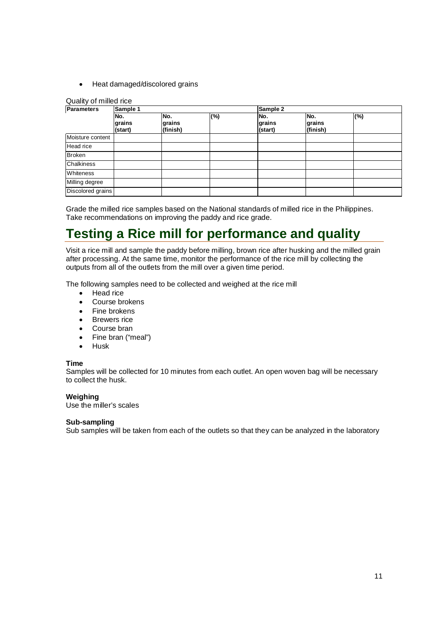• Heat damaged/discolored grains

## Quality of milled rice

| <b>Parameters</b> | Sample 1                 |                           |     | Sample 2                 |                           |     |  |  |
|-------------------|--------------------------|---------------------------|-----|--------------------------|---------------------------|-----|--|--|
|                   | No.<br>grains<br>(start) | No.<br>grains<br>(finish) | (%) | No.<br>grains<br>(start) | No.<br>grains<br>(finish) | (%) |  |  |
| Moisture content  |                          |                           |     |                          |                           |     |  |  |
| Head rice         |                          |                           |     |                          |                           |     |  |  |
| <b>Broken</b>     |                          |                           |     |                          |                           |     |  |  |
| Chalkiness        |                          |                           |     |                          |                           |     |  |  |
| Whiteness         |                          |                           |     |                          |                           |     |  |  |
| Milling degree    |                          |                           |     |                          |                           |     |  |  |
| Discolored grains |                          |                           |     |                          |                           |     |  |  |

Grade the milled rice samples based on the National standards of milled rice in the Philippines. Take recommendations on improving the paddy and rice grade.

# **Testing a Rice mill for performance and quality**

Visit a rice mill and sample the paddy before milling, brown rice after husking and the milled grain after processing. At the same time, monitor the performance of the rice mill by collecting the outputs from all of the outlets from the mill over a given time period.

The following samples need to be collected and weighed at the rice mill

- Head rice
- Course brokens
- Fine brokens
- Brewers rice
- Course bran
- Fine bran ("meal")
- Husk

## **Time**

Samples will be collected for 10 minutes from each outlet. An open woven bag will be necessary to collect the husk.

## **Weighing**

Use the miller's scales

## **Sub-sampling**

Sub samples will be taken from each of the outlets so that they can be analyzed in the laboratory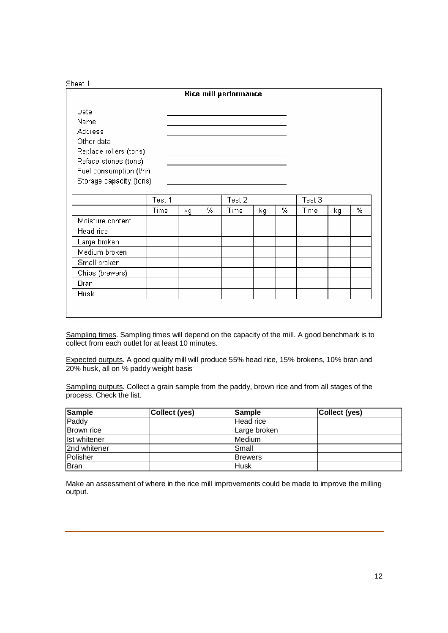## Sheet 1

|                                                                                                                                               |        |    |   | Rice mill performance |    |   |        |    |
|-----------------------------------------------------------------------------------------------------------------------------------------------|--------|----|---|-----------------------|----|---|--------|----|
| Date<br>Name<br>Address<br>Other data<br>Replace rollers (tons)<br>Reface stones (tons)<br>Fuel consumption (I/hr)<br>Storage capacity (tons) |        |    |   |                       |    |   |        |    |
|                                                                                                                                               | Test 1 |    |   | Test 2                |    |   | Test 3 |    |
|                                                                                                                                               | Time   | kg | % | Time                  | kg | % | Time   | kg |
| Moisture content                                                                                                                              |        |    |   |                       |    |   |        |    |
|                                                                                                                                               |        |    |   |                       |    |   |        |    |

| Moisture content |  |  |  |  |  |
|------------------|--|--|--|--|--|
| Head rice        |  |  |  |  |  |
| Large broken     |  |  |  |  |  |
| Medium broken    |  |  |  |  |  |
| Small broken     |  |  |  |  |  |
| Chips (brewers)  |  |  |  |  |  |
| Bran             |  |  |  |  |  |
| Husk             |  |  |  |  |  |
|                  |  |  |  |  |  |

Sampling times. Sampling times will depend on the capacity of the mill. A good benchmark is to collect from each outlet for at least 10 minutes.

Expected outputs. A good quality mill will produce 55% head rice, 15% brokens, 10% bran and 20% husk, all on % paddy weight basis

Sampling outputs. Collect a grain sample from the paddy, brown rice and from all stages of the process. Check the list.

| <b>Sample</b> | Collect (yes) | <b>Sample</b>  | Collect (yes) |
|---------------|---------------|----------------|---------------|
| Paddy         |               | Head rice      |               |
| Brown rice    |               | Large broken   |               |
| Ist whitener  |               | Medium         |               |
| 2nd whitener  |               | ISmall         |               |
| Polisher      |               | <b>Brewers</b> |               |
| <b>Bran</b>   |               | <b>Husk</b>    |               |

Make an assessment of where in the rice mill improvements could be made to improve the milling output.

 $\overline{\%}$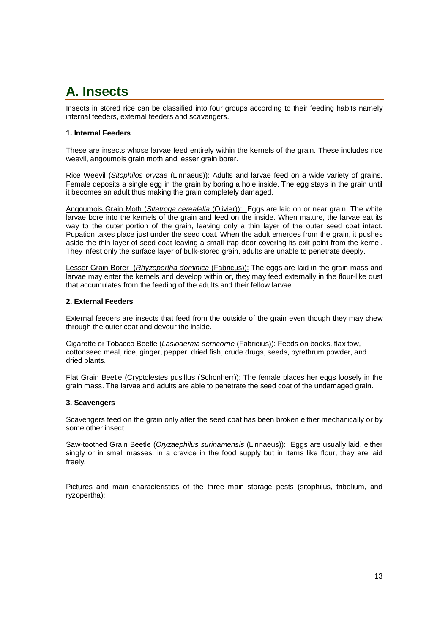# **A. Insects**

Insects in stored rice can be classified into four groups according to their feeding habits namely internal feeders, external feeders and scavengers.

## **1. Internal Feeders**

These are insects whose larvae feed entirely within the kernels of the grain. These includes rice weevil, angoumois grain moth and lesser grain borer.

Rice Weevil (Sitophilos oryzae (Linnaeus)): Adults and larvae feed on a wide variety of grains. Female deposits a single egg in the grain by boring a hole inside. The egg stays in the grain until it becomes an adult thus making the grain completely damaged.

Angoumois Grain Moth (Sitatroga cerealella (Olivier)): Eggs are laid on or near grain. The white larvae bore into the kernels of the grain and feed on the inside. When mature, the larvae eat its way to the outer portion of the grain, leaving only a thin layer of the outer seed coat intact. Pupation takes place just under the seed coat. When the adult emerges from the grain, it pushes aside the thin layer of seed coat leaving a small trap door covering its exit point from the kernel. They infest only the surface layer of bulk-stored grain, adults are unable to penetrate deeply.

Lesser Grain Borer (Rhyzopertha dominica (Fabricus)): The eggs are laid in the grain mass and larvae may enter the kernels and develop within or, they may feed externally in the flour-like dust that accumulates from the feeding of the adults and their fellow larvae.

## **2. External Feeders**

External feeders are insects that feed from the outside of the grain even though they may chew through the outer coat and devour the inside.

Cigarette or Tobacco Beetle (Lasioderma serricorne (Fabricius)): Feeds on books, flax tow, cottonseed meal, rice, ginger, pepper, dried fish, crude drugs, seeds, pyrethrum powder, and dried plants.

Flat Grain Beetle (Cryptolestes pusillus (Schonherr)): The female places her eggs loosely in the grain mass. The larvae and adults are able to penetrate the seed coat of the undamaged grain.

## **3. Scavengers**

Scavengers feed on the grain only after the seed coat has been broken either mechanically or by some other insect.

Saw-toothed Grain Beetle (Oryzaephilus surinamensis (Linnaeus)): Eggs are usually laid, either singly or in small masses, in a crevice in the food supply but in items like flour, they are laid freely.

Pictures and main characteristics of the three main storage pests (sitophilus, tribolium, and ryzopertha):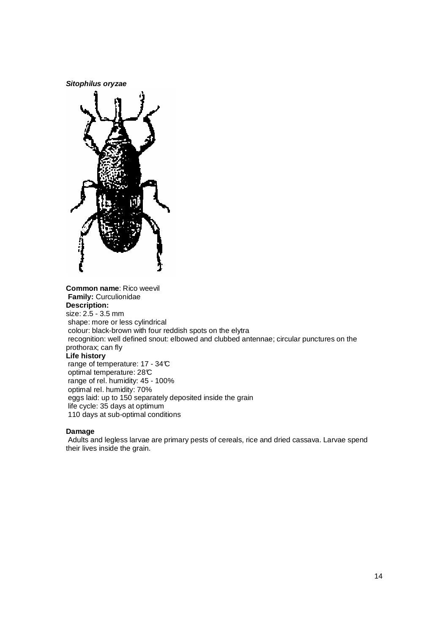**Sitophilus oryzae**



**Common name**: Rico weevil  **Family:** Curculionidae **Description:** size: 2.5 - 3.5 mm shape: more or less cylindrical colour: black-brown with four reddish spots on the elytra recognition: well defined snout: elbowed and clubbed antennae; circular punctures on the prothorax; can fly **Life history**  range of temperature: 17 - 34°C optimal temperature: 28°C range of rel. humidity: 45 - 100% optimal rel. humidity: 70% eggs laid: up to 150 separately deposited inside the grain life cycle: 35 days at optimum 110 days at sub-optimal conditions

## **Damage**

 Adults and legless larvae are primary pests of cereals, rice and dried cassava. Larvae spend their lives inside the grain.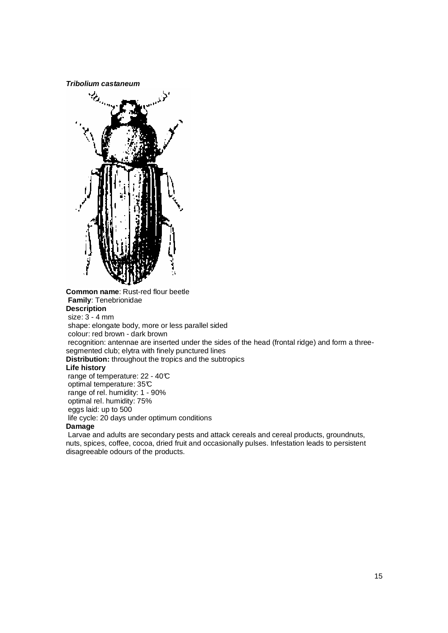**Tribolium castaneum** 



**Common name**: Rust-red flour beetle  **Family**: Tenebrionidae **Description**  size: 3 - 4 mm shape: elongate body, more or less parallel sided colour: red brown - dark brown recognition: antennae are inserted under the sides of the head (frontal ridge) and form a threesegmented club; elytra with finely punctured lines **Distribution:** throughout the tropics and the subtropics **Life history**  range of temperature: 22 - 40°C optimal temperature: 35°C range of rel. humidity: 1 - 90% optimal rel. humidity: 75% eggs laid: up to 500 life cycle: 20 days under optimum conditions

### **Damage**

 Larvae and adults are secondary pests and attack cereals and cereal products, groundnuts, nuts, spices, coffee, cocoa, dried fruit and occasionally pulses. Infestation leads to persistent disagreeable odours of the products.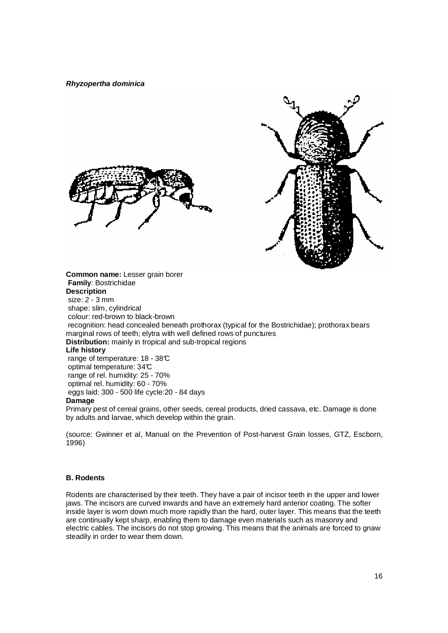**Rhyzopertha dominica**



**Distribution:** mainly in tropical and sub-tropical regions

## **Life history**

 range of temperature: 18 - 38°C optimal temperature: 34°C range of rel. humidity: 25 - 70% optimal rel. humidity: 60 - 70% eggs laid: 300 - 500 life cycle:20 - 84 days **Damage**

Primary pest of cereal grains, other seeds, cereal products, dried cassava, etc. Damage is done by adults and larvae, which develop within the grain.

(source: Gwinner et al, Manual on the Prevention of Post-harvest Grain losses, GTZ, Escborn, 1996)

### **B. Rodents**

Rodents are characterised by their teeth. They have a pair of incisor teeth in the upper and lower jaws. The incisors are curved inwards and have an extremely hard anterior coating. The softer inside layer is worn down much more rapidly than the hard, outer layer. This means that the teeth are continually kept sharp, enabling them to damage even materials such as masonry and electric cables. The incisors do not stop growing. This means that the animals are forced to gnaw steadily in order to wear them down.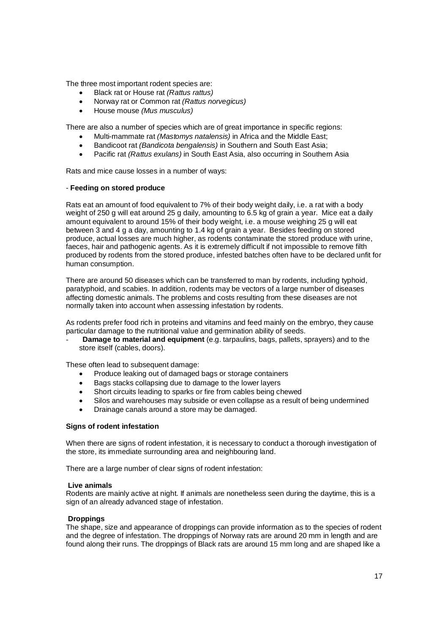The three most important rodent species are:

- Black rat or House rat (Rattus rattus)
- Norway rat or Common rat (Rattus norvegicus)
- House mouse (Mus musculus)

There are also a number of species which are of great importance in specific regions:

- Multi-mammate rat *(Mastomys natalensis)* in Africa and the Middle East:
- Bandicoot rat (Bandicota bengalensis) in Southern and South East Asia;
- Pacific rat (Rattus exulans) in South East Asia, also occurring in Southern Asia

Rats and mice cause losses in a number of ways:

## - **Feeding on stored produce**

Rats eat an amount of food equivalent to 7% of their body weight daily, i.e. a rat with a body weight of 250 g will eat around 25 g daily, amounting to 6.5 kg of grain a year. Mice eat a daily amount equivalent to around 15% of their body weight, i.e. a mouse weighing 25 g will eat between 3 and 4 g a day, amounting to 1.4 kg of grain a year. Besides feeding on stored produce, actual losses are much higher, as rodents contaminate the stored produce with urine, faeces, hair and pathogenic agents. As it is extremely difficult if not impossible to remove filth produced by rodents from the stored produce, infested batches often have to be declared unfit for human consumption.

There are around 50 diseases which can be transferred to man by rodents, including typhoid, paratyphoid, and scabies. In addition, rodents may be vectors of a large number of diseases affecting domestic animals. The problems and costs resulting from these diseases are not normally taken into account when assessing infestation by rodents.

As rodents prefer food rich in proteins and vitamins and feed mainly on the embryo, they cause particular damage to the nutritional value and germination ability of seeds.

- **Damage to material and equipment** (e.g. tarpaulins, bags, pallets, sprayers) and to the store itself (cables, doors).

These often lead to subsequent damage:

- Produce leaking out of damaged bags or storage containers
- Bags stacks collapsing due to damage to the lower layers
- Short circuits leading to sparks or fire from cables being chewed
- Silos and warehouses may subside or even collapse as a result of being undermined
- Drainage canals around a store may be damaged.

## **Signs of rodent infestation**

When there are signs of rodent infestation, it is necessary to conduct a thorough investigation of the store, its immediate surrounding area and neighbouring land.

There are a large number of clear signs of rodent infestation:

### **Live animals**

Rodents are mainly active at night. If animals are nonetheless seen during the daytime, this is a sign of an already advanced stage of infestation.

## **Droppings**

The shape, size and appearance of droppings can provide information as to the species of rodent and the degree of infestation. The droppings of Norway rats are around 20 mm in length and are found along their runs. The droppings of Black rats are around 15 mm long and are shaped like a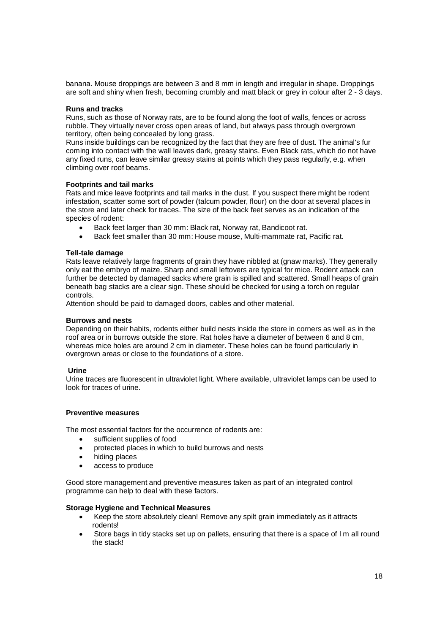banana. Mouse droppings are between 3 and 8 mm in length and irregular in shape. Droppings are soft and shiny when fresh, becoming crumbly and matt black or grey in colour after 2 - 3 days.

## **Runs and tracks**

Runs, such as those of Norway rats, are to be found along the foot of walls, fences or across rubble. They virtually never cross open areas of land, but always pass through overgrown territory, often being concealed by long grass.

Runs inside buildings can be recognized by the fact that they are free of dust. The animal's fur coming into contact with the wall leaves dark, greasy stains. Even Black rats, which do not have any fixed runs, can leave similar greasy stains at points which they pass regularly, e.g. when climbing over roof beams.

### **Footprints and tail marks**

Rats and mice leave footprints and tail marks in the dust. If you suspect there might be rodent infestation, scatter some sort of powder (talcum powder, flour) on the door at several places in the store and later check for traces. The size of the back feet serves as an indication of the species of rodent:

- Back feet larger than 30 mm: Black rat, Norway rat, Bandicoot rat.
- Back feet smaller than 30 mm: House mouse, Multi-mammate rat, Pacific rat.

### **Tell-tale damage**

Rats leave relatively large fragments of grain they have nibbled at (gnaw marks). They generally only eat the embryo of maize. Sharp and small leftovers are typical for mice. Rodent attack can further be detected by damaged sacks where grain is spilled and scattered. Small heaps of grain beneath bag stacks are a clear sign. These should be checked for using a torch on regular controls.

Attention should be paid to damaged doors, cables and other material.

### **Burrows and nests**

Depending on their habits, rodents either build nests inside the store in corners as well as in the roof area or in burrows outside the store. Rat holes have a diameter of between 6 and 8 cm, whereas mice holes are around 2 cm in diameter. These holes can be found particularly in overgrown areas or close to the foundations of a store.

### **Urine**

Urine traces are fluorescent in ultraviolet light. Where available, ultraviolet lamps can be used to look for traces of urine.

### **Preventive measures**

The most essential factors for the occurrence of rodents are:

- sufficient supplies of food
- protected places in which to build burrows and nests
- hiding places
- access to produce

Good store management and preventive measures taken as part of an integrated control programme can help to deal with these factors.

## **Storage Hygiene and Technical Measures**

- Keep the store absolutely clean! Remove any spilt grain immediately as it attracts rodents!
- Store bags in tidy stacks set up on pallets, ensuring that there is a space of I m all round the stack!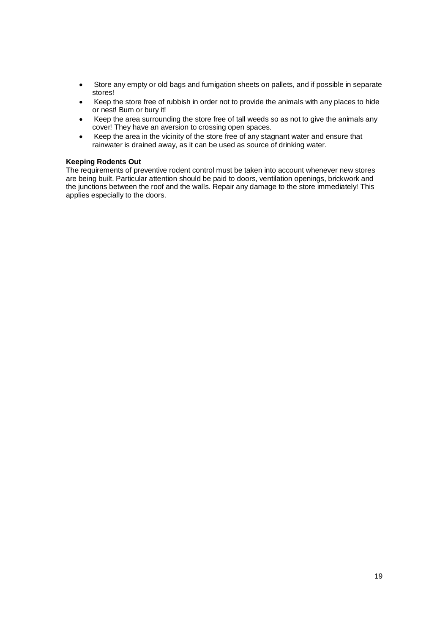- Store any empty or old bags and fumigation sheets on pallets, and if possible in separate stores!
- Keep the store free of rubbish in order not to provide the animals with any places to hide or nest! Bum or bury it!
- Keep the area surrounding the store free of tall weeds so as not to give the animals any cover! They have an aversion to crossing open spaces.
- Keep the area in the vicinity of the store free of any stagnant water and ensure that rainwater is drained away, as it can be used as source of drinking water.

## **Keeping Rodents Out**

The requirements of preventive rodent control must be taken into account whenever new stores are being built. Particular attention should be paid to doors, ventilation openings, brickwork and the junctions between the roof and the walls. Repair any damage to the store immediately! This applies especially to the doors.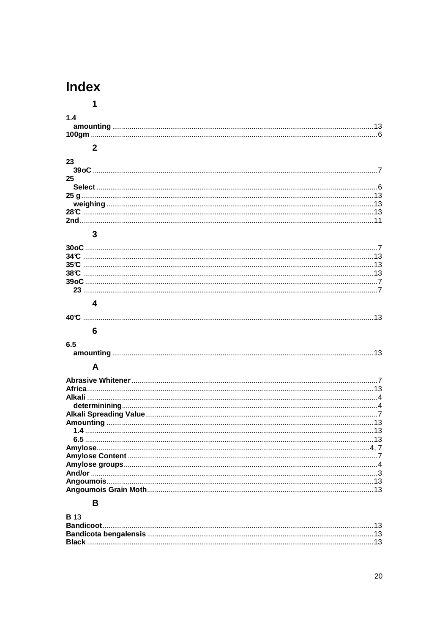# **Index**

| 1            |  |
|--------------|--|
| 1.4          |  |
|              |  |
|              |  |
|              |  |
| $\mathbf{2}$ |  |
|              |  |
| 23           |  |
|              |  |
| 25           |  |
|              |  |
|              |  |
|              |  |
|              |  |
|              |  |
| 3            |  |
|              |  |
|              |  |
|              |  |
|              |  |
|              |  |
|              |  |
|              |  |
|              |  |
| 4            |  |
|              |  |
|              |  |
|              |  |
|              |  |
| 6            |  |
| 6.5          |  |
|              |  |
|              |  |
| A            |  |
|              |  |
|              |  |
|              |  |
|              |  |
|              |  |
|              |  |
|              |  |
|              |  |
|              |  |
|              |  |
|              |  |
|              |  |
|              |  |
|              |  |
|              |  |
|              |  |
| B            |  |

| - 3 |  |
|-----|--|
|     |  |
|     |  |
|     |  |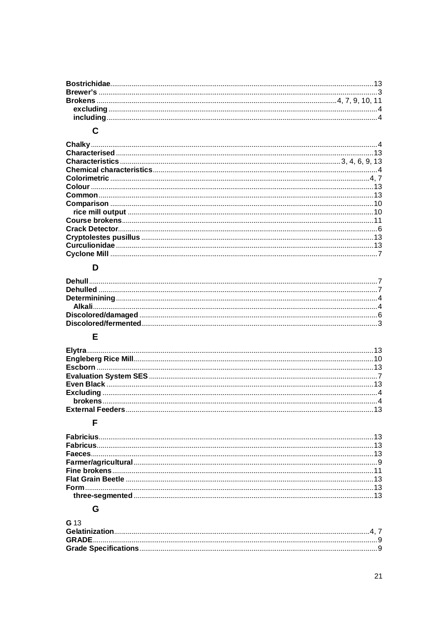## $\mathbf c$

## D

## $\bar{\mathsf{E}}$

## $\bar{\mathsf{F}}$

## G

| G <sub>13</sub> |  |
|-----------------|--|
|                 |  |
|                 |  |
|                 |  |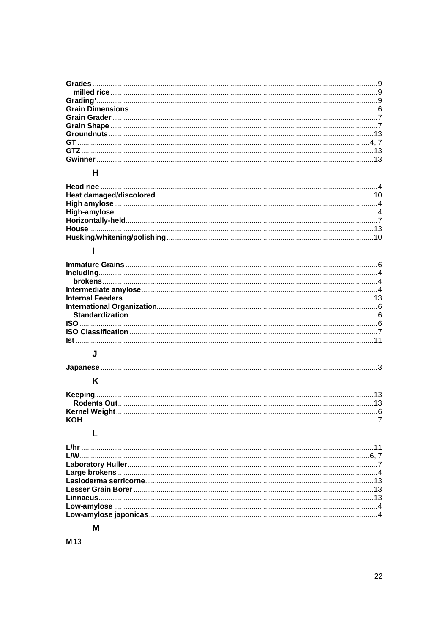## $\overline{\mathsf{H}}$

## $\mathbf{I}$

## $\mathsf{J}$

 $\overline{\mathsf{K}}$ 

## $\bar{\mathbf{L}}$

## M

**M** 13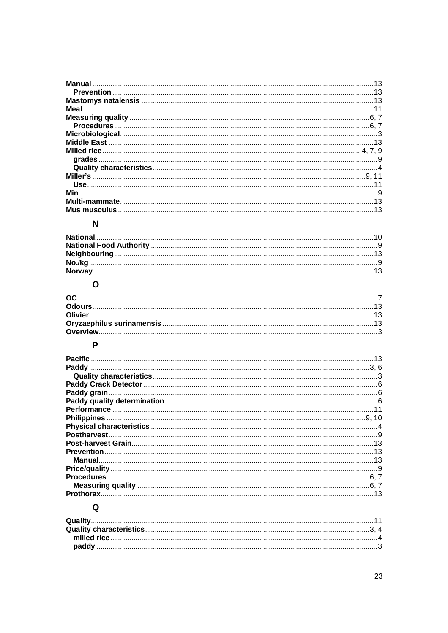## $\overline{\mathsf{N}}$

## $\mathbf{o}$

## $\overline{P}$

| <b>Pacific</b> |  |
|----------------|--|
|                |  |
|                |  |
|                |  |
|                |  |
|                |  |
|                |  |
|                |  |
|                |  |
|                |  |
|                |  |
|                |  |
|                |  |
|                |  |
|                |  |
|                |  |
| Prothorax.     |  |
|                |  |

## $\mathbf Q$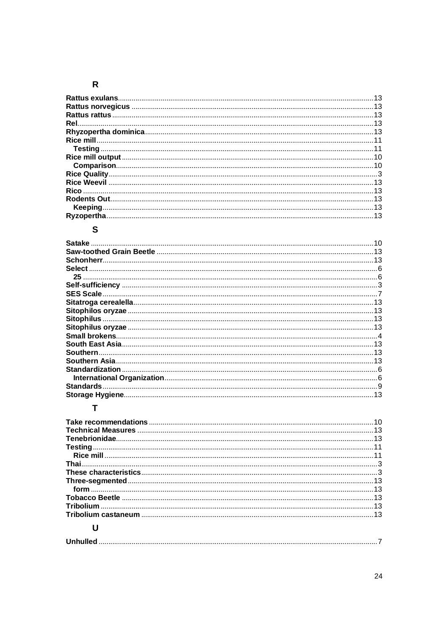## $\overline{\mathsf{R}}$

## S

| <b>Satake</b>         |    |
|-----------------------|----|
|                       | 13 |
| Schonherr             | 13 |
| Select                |    |
| 25                    |    |
|                       |    |
| <b>SES Scale</b>      |    |
|                       |    |
|                       | 13 |
|                       | 13 |
|                       |    |
| <b>Small brokens.</b> |    |
|                       |    |
| Southern              |    |
|                       |    |
| Standardization       |    |
|                       |    |
| <b>Standards</b>      |    |
|                       |    |

## $\mathbf{T}$

|                 | 10 |
|-----------------|----|
|                 |    |
|                 |    |
|                 |    |
|                 |    |
|                 |    |
|                 |    |
| form 13         |    |
|                 |    |
|                 |    |
|                 |    |
|                 |    |
| <b>Unhullad</b> |    |

|--|--|